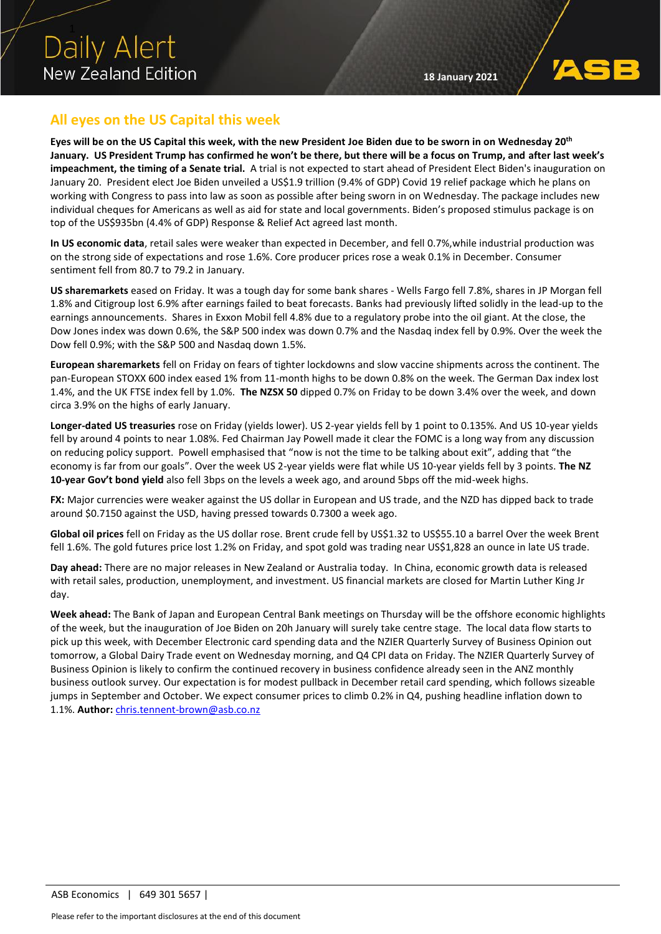# **All eyes on the US Capital this week**

**Eyes will be on the US Capital this week, with the new President Joe Biden due to be sworn in on Wednesday 20th January. US President Trump has confirmed he won't be there, but there will be a focus on Trump, and after last week's impeachment, the timing of a Senate trial.** A trial is not expected to start ahead of President Elect Biden's inauguration on January 20. President elect Joe Biden unveiled a US\$1.9 trillion (9.4% of GDP) Covid 19 relief package which he plans on working with Congress to pass into law as soon as possible after being sworn in on Wednesday. The package includes new individual cheques for Americans as well as aid for state and local governments. Biden's proposed stimulus package is on top of the US\$935bn (4.4% of GDP) Response & Relief Act agreed last month.

**In US economic data**, retail sales were weaker than expected in December, and fell 0.7%,while industrial production was on the strong side of expectations and rose 1.6%. Core producer prices rose a weak 0.1% in December. Consumer sentiment fell from 80.7 to 79.2 in January.

**US sharemarkets** eased on Friday. It was a tough day for some bank shares - Wells Fargo fell 7.8%, shares in JP Morgan fell 1.8% and Citigroup lost 6.9% after earnings failed to beat forecasts. Banks had previously lifted solidly in the lead-up to the earnings announcements. Shares in Exxon Mobil fell 4.8% due to a regulatory probe into the oil giant. At the close, the Dow Jones index was down 0.6%, the S&P 500 index was down 0.7% and the Nasdaq index fell by 0.9%. Over the week the Dow fell 0.9%; with the S&P 500 and Nasdaq down 1.5%.

**European sharemarkets** fell on Friday on fears of tighter lockdowns and slow vaccine shipments across the continent. The pan-European STOXX 600 index eased 1% from 11-month highs to be down 0.8% on the week. The German Dax index lost 1.4%, and the UK FTSE index fell by 1.0%. **The NZSX 50** dipped 0.7% on Friday to be down 3.4% over the week, and down circa 3.9% on the highs of early January.

**Longer-dated US treasuries** rose on Friday (yields lower). US 2-year yields fell by 1 point to 0.135%. And US 10-year yields fell by around 4 points to near 1.08%. Fed Chairman Jay Powell made it clear the FOMC is a long way from any discussion on reducing policy support. Powell emphasised that "now is not the time to be talking about exit", adding that "the economy is far from our goals". Over the week US 2-year yields were flat while US 10-year yields fell by 3 points. **The NZ 10-year Gov't bond yield** also fell 3bps on the levels a week ago, and around 5bps off the mid-week highs.

**FX:** Major currencies were weaker against the US dollar in European and US trade, and the NZD has dipped back to trade around \$0.7150 against the USD, having pressed towards 0.7300 a week ago.

**Global oil prices** fell on Friday as the US dollar rose. Brent crude fell by US\$1.32 to US\$55.10 a barrel Over the week Brent fell 1.6%. The gold futures price lost 1.2% on Friday, and spot gold was trading near US\$1,828 an ounce in late US trade.

**Day ahead:** There are no major releases in New Zealand or Australia today. In China, economic growth data is released with retail sales, production, unemployment, and investment. US financial markets are closed for Martin Luther King Jr day.

**Week ahead:** The Bank of Japan and European Central Bank meetings on Thursday will be the offshore economic highlights of the week, but the inauguration of Joe Biden on 20h January will surely take centre stage. The local data flow starts to pick up this week, with December Electronic card spending data and the NZIER Quarterly Survey of Business Opinion out tomorrow, a Global Dairy Trade event on Wednesday morning, and Q4 CPI data on Friday. The NZIER Quarterly Survey of Business Opinion is likely to confirm the continued recovery in business confidence already seen in the ANZ monthly business outlook survey. Our expectation is for modest pullback in December retail card spending, which follows sizeable jumps in September and October. We expect consumer prices to climb 0.2% in Q4, pushing headline inflation down to 1.1%. **Author:** [chris.tennent-brown@asb.co.nz](mailto:chris.tennent-brown@asb.co.nz)